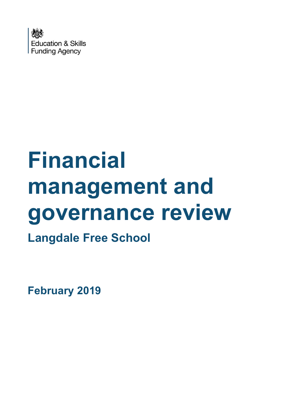

# **Financial management and governance review**

**Langdale Free School**

**February 2019**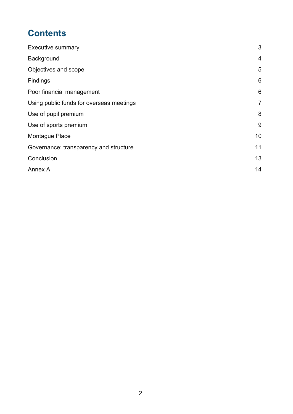# **Contents**

| <b>Executive summary</b>                 | 3              |
|------------------------------------------|----------------|
| Background                               | $\overline{4}$ |
| Objectives and scope                     | 5              |
| Findings                                 | 6              |
| Poor financial management                | 6              |
| Using public funds for overseas meetings | $\overline{7}$ |
| Use of pupil premium                     | 8              |
| Use of sports premium                    | 9              |
| Montague Place                           | 10             |
| Governance: transparency and structure   | 11             |
| Conclusion                               | 13             |
| Annex A                                  | 14             |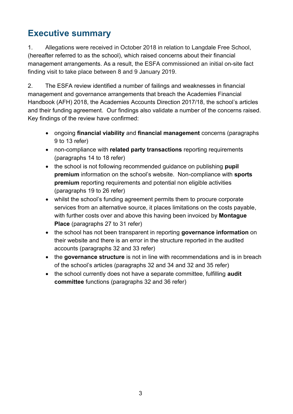# <span id="page-2-0"></span>**Executive summary**

1. Allegations were received in October 2018 in relation to Langdale Free School, (hereafter referred to as the school), which raised concerns about their financial management arrangements. As a result, the ESFA commissioned an initial on-site fact finding visit to take place between 8 and 9 January 2019.

2. The ESFA review identified a number of failings and weaknesses in financial management and governance arrangements that breach the Academies Financial Handbook (AFH) 2018, the Academies Accounts Direction 2017/18, the school's articles and their funding agreement. Our findings also validate a number of the concerns raised. Key findings of the review have confirmed:

- ongoing **financial viability** and **financial management** concerns (paragraphs 9 to 13 refer)
- non-compliance with **related party transactions** reporting requirements (paragraphs 14 to 18 refer)
- the school is not following recommended guidance on publishing **pupil premium** information on the school's website. Non-compliance with **sports premium** reporting requirements and potential non eligible activities (paragraphs 19 to 26 refer)
- whilst the school's funding agreement permits them to procure corporate services from an alternative source, it places limitations on the costs payable, with further costs over and above this having been invoiced by **Montague Place** (paragraphs 27 to 31 refer)
- the school has not been transparent in reporting **governance information** on their website and there is an error in the structure reported in the audited accounts (paragraphs 32 and 33 refer)
- the **governance structure** is not in line with recommendations and is in breach of the school's articles (paragraphs 32 and 34 and 32 and 35 refer)
- the school currently does not have a separate committee, fulfilling **audit committee** functions (paragraphs 32 and 36 refer)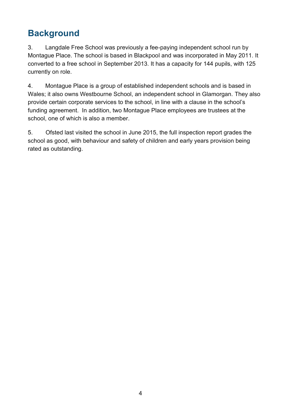# <span id="page-3-0"></span>**Background**

3. Langdale Free School was previously a fee-paying independent school run by Montague Place. The school is based in Blackpool and was incorporated in May 2011. It converted to a free school in September 2013. It has a capacity for 144 pupils, with 125 currently on role.

4. Montague Place is a group of established independent schools and is based in Wales; it also owns Westbourne School, an independent school in Glamorgan. They also provide certain corporate services to the school, in line with a clause in the school's funding agreement. In addition, two Montague Place employees are trustees at the school, one of which is also a member.

5. Ofsted last visited the school in June 2015, the full inspection report grades the school as good, with behaviour and safety of children and early years provision being rated as outstanding.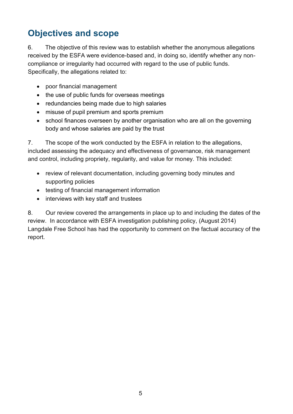# <span id="page-4-0"></span>**Objectives and scope**

6. The objective of this review was to establish whether the anonymous allegations received by the ESFA were evidence-based and, in doing so, identify whether any noncompliance or irregularity had occurred with regard to the use of public funds. Specifically, the allegations related to:

- poor financial management
- the use of public funds for overseas meetings
- redundancies being made due to high salaries
- misuse of pupil premium and sports premium
- school finances overseen by another organisation who are all on the governing body and whose salaries are paid by the trust

7. The scope of the work conducted by the ESFA in relation to the allegations, included assessing the adequacy and effectiveness of governance, risk management and control, including propriety, regularity, and value for money. This included:

- review of relevant documentation, including governing body minutes and supporting policies
- testing of financial management information
- interviews with key staff and trustees

8. Our review covered the arrangements in place up to and including the dates of the review. In accordance with ESFA investigation publishing policy, (August 2014) Langdale Free School has had the opportunity to comment on the factual accuracy of the report.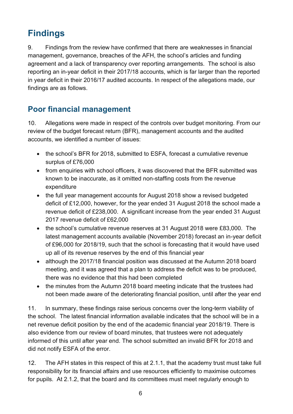# <span id="page-5-0"></span>**Findings**

9. Findings from the review have confirmed that there are weaknesses in financial management, governance, breaches of the AFH, the school's articles and funding agreement and a lack of transparency over reporting arrangements. The school is also reporting an in-year deficit in their 2017/18 accounts, which is far larger than the reported in year deficit in their 2016/17 audited accounts. In respect of the allegations made, our findings are as follows.

### <span id="page-5-1"></span>**Poor financial management**

10. Allegations were made in respect of the controls over budget monitoring. From our review of the budget forecast return (BFR), management accounts and the audited accounts, we identified a number of issues:

- the school's BFR for 2018, submitted to ESFA, forecast a cumulative revenue surplus of £76,000
- from enquiries with school officers, it was discovered that the BFR submitted was known to be inaccurate, as it omitted non-staffing costs from the revenue expenditure
- the full year management accounts for August 2018 show a revised budgeted deficit of £12,000, however, for the year ended 31 August 2018 the school made a revenue deficit of £238,000. A significant increase from the year ended 31 August 2017 revenue deficit of £62,000
- the school's cumulative revenue reserves at 31 August 2018 were £83,000. The latest management accounts available (November 2018) forecast an in-year deficit of £96,000 for 2018/19, such that the school is forecasting that it would have used up all of its revenue reserves by the end of this financial year
- although the 2017/18 financial position was discussed at the Autumn 2018 board meeting, and it was agreed that a plan to address the deficit was to be produced, there was no evidence that this had been completed
- the minutes from the Autumn 2018 board meeting indicate that the trustees had not been made aware of the deteriorating financial position, until after the year end

11. In summary, these findings raise serious concerns over the long-term viability of the school. The latest financial information available indicates that the school will be in a net revenue deficit position by the end of the academic financial year 2018/19. There is also evidence from our review of board minutes, that trustees were not adequately informed of this until after year end. The school submitted an invalid BFR for 2018 and did not notify ESFA of the error.

12. The AFH states in this respect of this at 2.1.1, that the academy trust must take full responsibility for its financial affairs and use resources efficiently to maximise outcomes for pupils. At 2.1.2, that the board and its committees must meet regularly enough to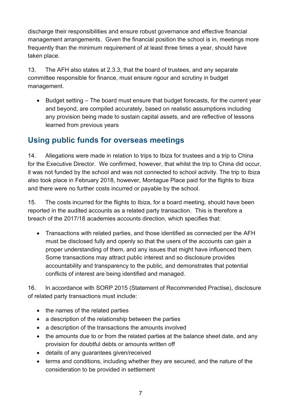discharge their responsibilities and ensure robust governance and effective financial management arrangements. Given the financial position the school is in, meetings more frequently than the minimum requirement of at least three times a year, should have taken place.

13. The AFH also states at 2.3.3, that the board of trustees, and any separate committee responsible for finance, must ensure rigour and scrutiny in budget management.

• Budget setting – The board must ensure that budget forecasts, for the current year and beyond, are compiled accurately, based on realistic assumptions including any provision being made to sustain capital assets, and are reflective of lessons learned from previous years

#### <span id="page-6-0"></span>**Using public funds for overseas meetings**

14. Allegations were made in relation to trips to Ibiza for trustees and a trip to China for the Executive Director. We confirmed, however, that whilst the trip to China did occur, it was not funded by the school and was not connected to school activity. The trip to Ibiza also took place in February 2018, however, Montague Place paid for the flights to Ibiza and there were no further costs incurred or payable by the school.

15. The costs incurred for the flights to Ibiza, for a board meeting, should have been reported in the audited accounts as a related party transaction. This is therefore a breach of the 2017/18 academies accounts direction, which specifies that:

• Transactions with related parties, and those identified as connected per the AFH must be disclosed fully and openly so that the users of the accounts can gain a proper understanding of them, and any issues that might have influenced them. Some transactions may attract public interest and so disclosure provides accountability and transparency to the public, and demonstrates that potential conflicts of interest are being identified and managed.

16. In accordance with SORP 2015 (Statement of Recommended Practise), disclosure of related party transactions must include:

- the names of the related parties
- a description of the relationship between the parties
- a description of the transactions the amounts involved
- the amounts due to or from the related parties at the balance sheet date, and any provision for doubtful debts or amounts written off
- details of any guarantees given/received
- terms and conditions, including whether they are secured, and the nature of the consideration to be provided in settlement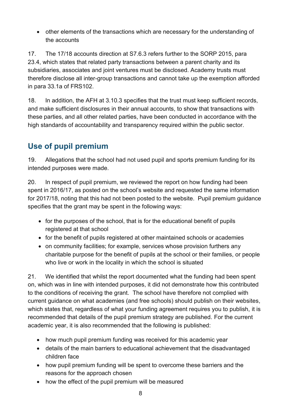• other elements of the transactions which are necessary for the understanding of the accounts

17. The 17/18 accounts direction at S7.6.3 refers further to the SORP 2015, para 23.4, which states that related party transactions between a parent charity and its subsidiaries, associates and joint ventures must be disclosed. Academy trusts must therefore disclose all inter-group transactions and cannot take up the exemption afforded in para 33.1a of FRS102.

18. In addition, the AFH at 3.10.3 specifies that the trust must keep sufficient records, and make sufficient disclosures in their annual accounts, to show that transactions with these parties, and all other related parties, have been conducted in accordance with the high standards of accountability and transparency required within the public sector.

## <span id="page-7-0"></span>**Use of pupil premium**

19. Allegations that the school had not used pupil and sports premium funding for its intended purposes were made.

20. In respect of pupil premium, we reviewed the report on how funding had been spent in 2016/17, as posted on the school's website and requested the same information for 2017/18, noting that this had not been posted to the website. Pupil premium guidance specifies that the grant may be spent in the following ways:

- for the purposes of the school, that is for the educational benefit of pupils registered at that school
- for the benefit of pupils registered at other maintained schools or academies
- on community facilities; for example, services whose provision furthers any charitable purpose for the benefit of pupils at the school or their families, or people who live or work in the locality in which the school is situated

21. We identified that whilst the report documented what the funding had been spent on, which was in line with intended purposes, it did not demonstrate how this contributed to the conditions of receiving the grant. The school have therefore not complied with current guidance on what academies (and free schools) should publish on their websites, which states that, regardless of what your funding agreement requires you to publish, it is recommended that details of the pupil premium strategy are published. For the current academic year, it is also recommended that the following is published:

- how much pupil premium funding was received for this academic year
- details of the main barriers to educational achievement that the disadvantaged children face
- how pupil premium funding will be spent to overcome these barriers and the reasons for the approach chosen
- how the effect of the pupil premium will be measured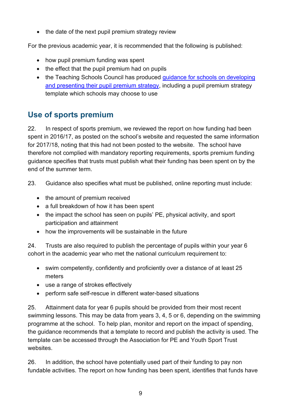• the date of the next pupil premium strategy review

For the previous academic year, it is recommended that the following is published:

- how pupil premium funding was spent
- the effect that the pupil premium had on pupils
- the Teaching Schools Council has produced quidance for schools on developing [and presenting their pupil premium strategy,](https://www.tscouncil.org.uk/resources/guide-to-effective-pupil-premium-review/) including a pupil premium strategy template which schools may choose to use

## <span id="page-8-0"></span>**Use of sports premium**

22. In respect of sports premium, we reviewed the report on how funding had been spent in 2016/17, as posted on the school's website and requested the same information for 2017/18, noting that this had not been posted to the website. The school have therefore not complied with mandatory reporting requirements, sports premium funding guidance specifies that trusts must publish what their funding has been spent on by the end of the summer term.

23. Guidance also specifies what must be published, online reporting must include:

- the amount of premium received
- a full breakdown of how it has been spent
- the impact the school has seen on pupils' PE, physical activity, and sport participation and attainment
- how the improvements will be sustainable in the future

24. Trusts are also required to publish the percentage of pupils within your year 6 cohort in the academic year who met the national curriculum requirement to:

- swim competently, confidently and proficiently over a distance of at least 25 meters
- use a range of strokes effectively
- perform safe self-rescue in different water-based situations

25. Attainment data for year 6 pupils should be provided from their most recent swimming lessons. This may be data from years 3, 4, 5 or 6, depending on the swimming programme at the school. To help plan, monitor and report on the impact of spending, the guidance recommends that a template to record and publish the activity is used. The template can be accessed through the Association for PE and Youth Sport Trust websites.

26. In addition, the school have potentially used part of their funding to pay non fundable activities. The report on how funding has been spent, identifies that funds have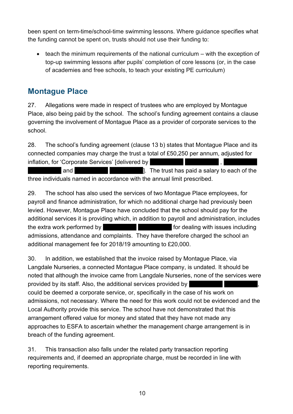been spent on term-time/school-time swimming lessons. Where guidance specifies what the funding cannot be spent on, trusts should not use their funding to:

• teach the minimum requirements of the national curriculum – with the exception of top-up swimming lessons after pupils' completion of core lessons (or, in the case of academies and free schools, to teach your existing PE curriculum)

#### <span id="page-9-0"></span>**Montague Place**

27. Allegations were made in respect of trustees who are employed by Montague Place, also being paid by the school. The school's funding agreement contains a clause governing the involvement of Montague Place as a provider of corporate services to the school.

28. The school's funding agreement (clause 13 b) states that Montague Place and its connected companies may charge the trust a total of £50,250 per annum, adjusted for **inflation, for 'Corporate Services' [delivered by <Redacted>** and **<Redacted> <Redacted>**]. The trust has paid a salary to each of the

three individuals named in accordance with the annual limit prescribed.

29. The school has also used the services of two Montague Place employees, for payroll and finance administration, for which no additional charge had previously been levied. However, Montague Place have concluded that the school should pay for the additional services it is providing which, in addition to payroll and administration, includes the extra work performed by **Extracted EXECUTE: EXECUTE:** for dealing with issues including admissions, attendance and complaints. They have therefore charged the school an additional management fee for 2018/19 amounting to £20,000.

30. In addition, we established that the invoice raised by Montague Place, via Langdale Nurseries, a connected Montague Place company, is undated. It should be noted that although the invoice came from Langdale Nurseries, none of the services were provided by its staff. Also, the additional services provided by could be deemed a corporate service, or, specifically in the case of his work on admissions, not necessary. Where the need for this work could not be evidenced and the Local Authority provide this service. The school have not demonstrated that this arrangement offered value for money and stated that they have not made any approaches to ESFA to ascertain whether the management charge arrangement is in breach of the funding agreement.

31. This transaction also falls under the related party transaction reporting requirements and, if deemed an appropriate charge, must be recorded in line with reporting requirements.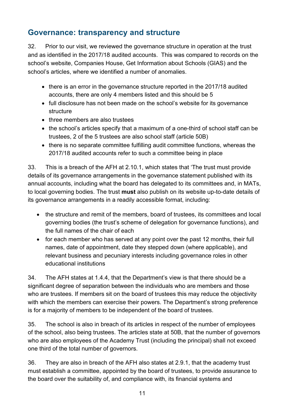#### <span id="page-10-0"></span>**Governance: transparency and structure**

32. Prior to our visit, we reviewed the governance structure in operation at the trust and as identified in the 2017/18 audited accounts. This was compared to records on the school's website, Companies House, Get Information about Schools (GIAS) and the school's articles, where we identified a number of anomalies.

- there is an error in the governance structure reported in the 2017/18 audited accounts, there are only 4 members listed and this should be 5
- full disclosure has not been made on the school's website for its governance structure
- three members are also trustees
- the school's articles specify that a maximum of a one-third of school staff can be trustees, 2 of the 5 trustees are also school staff (article 50B)
- there is no separate committee fulfilling audit committee functions, whereas the 2017/18 audited accounts refer to such a committee being in place

33. This is a breach of the AFH at 2.10.1, which states that 'The trust must provide details of its governance arrangements in the governance statement published with its annual accounts, including what the board has delegated to its committees and, in MATs, to local governing bodies. The trust **must** also publish on its website up-to-date details of its governance arrangements in a readily accessible format, including:

- the structure and remit of the members, board of trustees, its committees and local governing bodies (the trust's scheme of delegation for governance functions), and the full names of the chair of each
- for each member who has served at any point over the past 12 months, their full names, date of appointment, date they stepped down (where applicable), and relevant business and pecuniary interests including governance roles in other educational institutions

34. The AFH states at 1.4.4, that the Department's view is that there should be a significant degree of separation between the individuals who are members and those who are trustees. If members sit on the board of trustees this may reduce the objectivity with which the members can exercise their powers. The Department's strong preference is for a majority of members to be independent of the board of trustees.

35. The school is also in breach of its articles in respect of the number of employees of the school, also being trustees. The articles state at 50B, that the number of governors who are also employees of the Academy Trust (including the principal) shall not exceed one third of the total number of governors.

36. They are also in breach of the AFH also states at 2.9.1, that the academy trust must establish a committee, appointed by the board of trustees, to provide assurance to the board over the suitability of, and compliance with, its financial systems and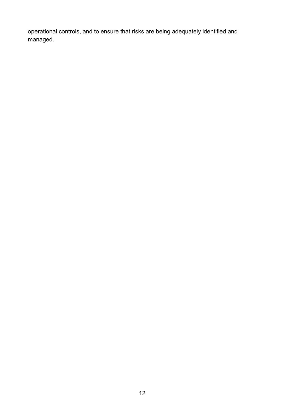operational controls, and to ensure that risks are being adequately identified and managed.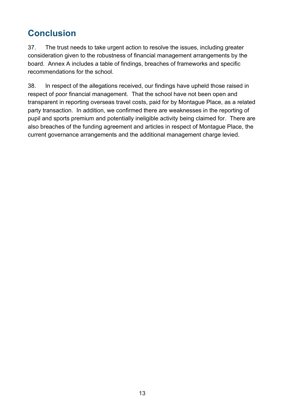# <span id="page-12-0"></span>**Conclusion**

37. The trust needs to take urgent action to resolve the issues, including greater consideration given to the robustness of financial management arrangements by the board. Annex A includes a table of findings, breaches of frameworks and specific recommendations for the school.

38. In respect of the allegations received, our findings have upheld those raised in respect of poor financial management. That the school have not been open and transparent in reporting overseas travel costs, paid for by Montague Place, as a related party transaction. In addition, we confirmed there are weaknesses in the reporting of pupil and sports premium and potentially ineligible activity being claimed for. There are also breaches of the funding agreement and articles in respect of Montague Place, the current governance arrangements and the additional management charge levied.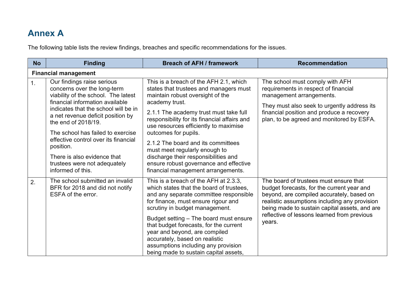# **Annex A**

The following table lists the review findings, breaches and specific recommendations for the issues.

<span id="page-13-0"></span>

| <b>No</b> | <b>Finding</b>                                                                                                                                                                                                                                                                                                                    | <b>Breach of AFH / framework</b>                                                                                                                                                                                                                                                                                                                                                                                                            | <b>Recommendation</b>                                                                                                                                                                                                                                                                        |
|-----------|-----------------------------------------------------------------------------------------------------------------------------------------------------------------------------------------------------------------------------------------------------------------------------------------------------------------------------------|---------------------------------------------------------------------------------------------------------------------------------------------------------------------------------------------------------------------------------------------------------------------------------------------------------------------------------------------------------------------------------------------------------------------------------------------|----------------------------------------------------------------------------------------------------------------------------------------------------------------------------------------------------------------------------------------------------------------------------------------------|
|           | <b>Financial management</b>                                                                                                                                                                                                                                                                                                       |                                                                                                                                                                                                                                                                                                                                                                                                                                             |                                                                                                                                                                                                                                                                                              |
| 1.        | Our findings raise serious<br>concerns over the long-term<br>viability of the school. The latest<br>financial information available<br>indicates that the school will be in<br>a net revenue deficit position by<br>the end of 2018/19.<br>The school has failed to exercise<br>effective control over its financial<br>position. | This is a breach of the AFH 2.1, which<br>states that trustees and managers must<br>maintain robust oversight of the<br>academy trust.<br>2.1.1 The academy trust must take full<br>responsibility for its financial affairs and<br>use resources efficiently to maximise<br>outcomes for pupils.<br>2.1.2 The board and its committees<br>must meet regularly enough to                                                                    | The school must comply with AFH<br>requirements in respect of financial<br>management arrangements.<br>They must also seek to urgently address its<br>financial position and produce a recovery<br>plan, to be agreed and monitored by ESFA.                                                 |
|           | There is also evidence that<br>trustees were not adequately<br>informed of this.                                                                                                                                                                                                                                                  | discharge their responsibilities and<br>ensure robust governance and effective<br>financial management arrangements.                                                                                                                                                                                                                                                                                                                        |                                                                                                                                                                                                                                                                                              |
| 2.        | The school submitted an invalid<br>BFR for 2018 and did not notify<br>ESFA of the error.                                                                                                                                                                                                                                          | This is a breach of the AFH at 2.3.3,<br>which states that the board of trustees,<br>and any separate committee responsible<br>for finance, must ensure rigour and<br>scrutiny in budget management.<br>Budget setting - The board must ensure<br>that budget forecasts, for the current<br>year and beyond, are compiled<br>accurately, based on realistic<br>assumptions including any provision<br>being made to sustain capital assets, | The board of trustees must ensure that<br>budget forecasts, for the current year and<br>beyond, are compiled accurately, based on<br>realistic assumptions including any provision<br>being made to sustain capital assets, and are<br>reflective of lessons learned from previous<br>years. |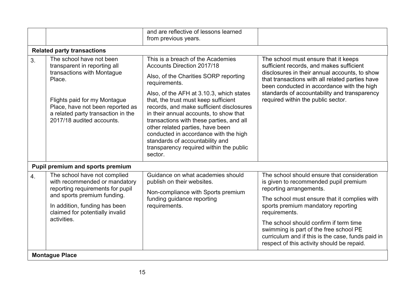|                   |                                                                                                                                                                                                                                         | and are reflective of lessons learned<br>from previous years.                                                                                                                                                                                                                                                                                                                                                                                                                                                                |                                                                                                                                                                                                                                                                                                                          |
|-------------------|-----------------------------------------------------------------------------------------------------------------------------------------------------------------------------------------------------------------------------------------|------------------------------------------------------------------------------------------------------------------------------------------------------------------------------------------------------------------------------------------------------------------------------------------------------------------------------------------------------------------------------------------------------------------------------------------------------------------------------------------------------------------------------|--------------------------------------------------------------------------------------------------------------------------------------------------------------------------------------------------------------------------------------------------------------------------------------------------------------------------|
|                   | <b>Related party transactions</b>                                                                                                                                                                                                       |                                                                                                                                                                                                                                                                                                                                                                                                                                                                                                                              |                                                                                                                                                                                                                                                                                                                          |
| 3.                | The school have not been<br>transparent in reporting all<br>transactions with Montague<br>Place.<br>Flights paid for my Montague<br>Place, have not been reported as<br>a related party transaction in the<br>2017/18 audited accounts. | This is a breach of the Academies<br><b>Accounts Direction 2017/18</b><br>Also, of the Charities SORP reporting<br>requirements.<br>Also, of the AFH at 3.10.3, which states<br>that, the trust must keep sufficient<br>records, and make sufficient disclosures<br>in their annual accounts, to show that<br>transactions with these parties, and all<br>other related parties, have been<br>conducted in accordance with the high<br>standards of accountability and<br>transparency required within the public<br>sector. | The school must ensure that it keeps<br>sufficient records, and makes sufficient<br>disclosures in their annual accounts, to show<br>that transactions with all related parties have<br>been conducted in accordance with the high<br>standards of accountability and transparency<br>required within the public sector. |
|                   | Pupil premium and sports premium                                                                                                                                                                                                        |                                                                                                                                                                                                                                                                                                                                                                                                                                                                                                                              |                                                                                                                                                                                                                                                                                                                          |
| 4.<br>activities. | The school have not complied<br>with recommended or mandatory<br>reporting requirements for pupil<br>and sports premium funding.                                                                                                        | Guidance on what academies should<br>publish on their websites.<br>Non-compliance with Sports premium<br>funding guidance reporting                                                                                                                                                                                                                                                                                                                                                                                          | The school should ensure that consideration<br>is given to recommended pupil premium<br>reporting arrangements.<br>The school must ensure that it complies with                                                                                                                                                          |
|                   | In addition, funding has been<br>claimed for potentially invalid                                                                                                                                                                        | requirements.                                                                                                                                                                                                                                                                                                                                                                                                                                                                                                                | sports premium mandatory reporting<br>requirements.                                                                                                                                                                                                                                                                      |
|                   |                                                                                                                                                                                                                                         |                                                                                                                                                                                                                                                                                                                                                                                                                                                                                                                              | The school should confirm if term time<br>swimming is part of the free school PE<br>curriculum and if this is the case, funds paid in<br>respect of this activity should be repaid.                                                                                                                                      |
|                   | <b>Montague Place</b>                                                                                                                                                                                                                   |                                                                                                                                                                                                                                                                                                                                                                                                                                                                                                                              |                                                                                                                                                                                                                                                                                                                          |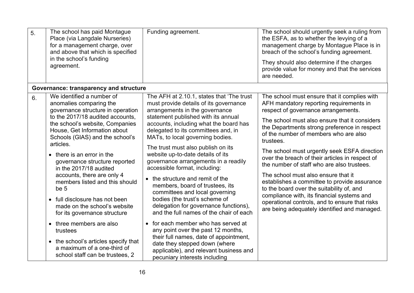| 5. | The school has paid Montague<br>Place (via Langdale Nurseries)<br>for a management charge, over<br>and above that which is specified<br>in the school's funding<br>agreement. | Funding agreement.                                                                                                                                       | The school should urgently seek a ruling from<br>the ESFA, as to whether the levying of a<br>management charge by Montague Place is in<br>breach of the school's funding agreement.<br>They should also determine if the charges<br>provide value for money and that the services<br>are needed. |
|----|-------------------------------------------------------------------------------------------------------------------------------------------------------------------------------|----------------------------------------------------------------------------------------------------------------------------------------------------------|--------------------------------------------------------------------------------------------------------------------------------------------------------------------------------------------------------------------------------------------------------------------------------------------------|
|    | Governance: transparency and structure                                                                                                                                        |                                                                                                                                                          |                                                                                                                                                                                                                                                                                                  |
| 6. | We identified a number of<br>anomalies comparing the<br>governance structure in operation                                                                                     | The AFH at 2.10.1, states that 'The trust<br>must provide details of its governance<br>arrangements in the governance                                    | The school must ensure that it complies with<br>AFH mandatory reporting requirements in<br>respect of governance arrangements.                                                                                                                                                                   |
|    | to the 2017/18 audited accounts,<br>the school's website, Companies<br>House, Get Information about<br>Schools (GIAS) and the school's<br>articles.                           | statement published with its annual<br>accounts, including what the board has<br>delegated to its committees and, in<br>MATs, to local governing bodies. | The school must also ensure that it considers<br>the Departments strong preference in respect<br>of the number of members who are also<br>trustees.                                                                                                                                              |
|    | • there is an error in the<br>governance structure reported<br>in the 2017/18 audited                                                                                         | The trust must also publish on its<br>website up-to-date details of its<br>governance arrangements in a readily<br>accessible format, including:         | The school must urgently seek ESFA direction<br>over the breach of their articles in respect of<br>the number of staff who are also trustees.                                                                                                                                                    |
|    | accounts, there are only 4<br>members listed and this should<br>be 5                                                                                                          | • the structure and remit of the<br>members, board of trustees, its<br>committees and local governing                                                    | The school must also ensure that it<br>establishes a committee to provide assurance<br>to the board over the suitability of, and                                                                                                                                                                 |
|    | • full disclosure has not been<br>made on the school's website<br>for its governance structure                                                                                | bodies (the trust's scheme of<br>delegation for governance functions),<br>and the full names of the chair of each                                        | compliance with, its financial systems and<br>operational controls, and to ensure that risks<br>are being adequately identified and managed.                                                                                                                                                     |
|    | • three members are also<br>trustees                                                                                                                                          | • for each member who has served at<br>any point over the past 12 months,<br>their full names, date of appointment,                                      |                                                                                                                                                                                                                                                                                                  |
|    | • the school's articles specify that<br>a maximum of a one-third of<br>school staff can be trustees, 2                                                                        | date they stepped down (where<br>applicable), and relevant business and<br>pecuniary interests including                                                 |                                                                                                                                                                                                                                                                                                  |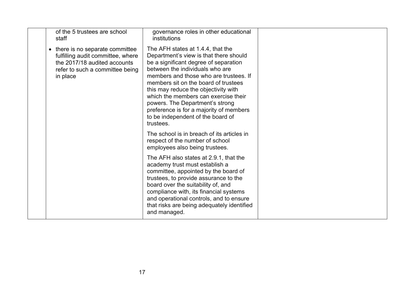| of the 5 trustees are school<br>staff                                                                                                                | governance roles in other educational<br>institutions                                                                                                                                                                                                                                                                                                                                                                                                     |  |
|------------------------------------------------------------------------------------------------------------------------------------------------------|-----------------------------------------------------------------------------------------------------------------------------------------------------------------------------------------------------------------------------------------------------------------------------------------------------------------------------------------------------------------------------------------------------------------------------------------------------------|--|
| • there is no separate committee<br>fulfilling audit committee, where<br>the 2017/18 audited accounts<br>refer to such a committee being<br>in place | The AFH states at 1.4.4, that the<br>Department's view is that there should<br>be a significant degree of separation<br>between the individuals who are<br>members and those who are trustees. If<br>members sit on the board of trustees<br>this may reduce the objectivity with<br>which the members can exercise their<br>powers. The Department's strong<br>preference is for a majority of members<br>to be independent of the board of<br>trustees. |  |
|                                                                                                                                                      | The school is in breach of its articles in<br>respect of the number of school<br>employees also being trustees.                                                                                                                                                                                                                                                                                                                                           |  |
|                                                                                                                                                      | The AFH also states at 2.9.1, that the<br>academy trust must establish a<br>committee, appointed by the board of<br>trustees, to provide assurance to the<br>board over the suitability of, and<br>compliance with, its financial systems<br>and operational controls, and to ensure<br>that risks are being adequately identified<br>and managed.                                                                                                        |  |